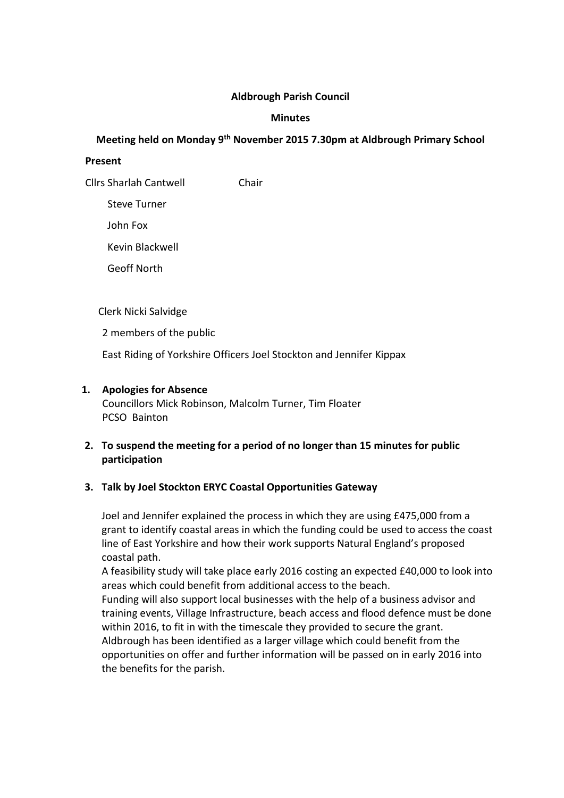### Aldbrough Parish Council

### Minutes

# Meeting held on Monday 9th November 2015 7.30pm at Aldbrough Primary School

### Present

Cllrs Sharlah Cantwell Chair

Steve Turner

John Fox

Kevin Blackwell

Geoff North

Clerk Nicki Salvidge

2 members of the public

East Riding of Yorkshire Officers Joel Stockton and Jennifer Kippax

## 1. Apologies for Absence

Councillors Mick Robinson, Malcolm Turner, Tim Floater PCSO Bainton

# 2. To suspend the meeting for a period of no longer than 15 minutes for public participation

# 3. Talk by Joel Stockton ERYC Coastal Opportunities Gateway

Joel and Jennifer explained the process in which they are using £475,000 from a grant to identify coastal areas in which the funding could be used to access the coast line of East Yorkshire and how their work supports Natural England's proposed coastal path.

A feasibility study will take place early 2016 costing an expected £40,000 to look into areas which could benefit from additional access to the beach.

Funding will also support local businesses with the help of a business advisor and training events, Village Infrastructure, beach access and flood defence must be done within 2016, to fit in with the timescale they provided to secure the grant. Aldbrough has been identified as a larger village which could benefit from the opportunities on offer and further information will be passed on in early 2016 into the benefits for the parish.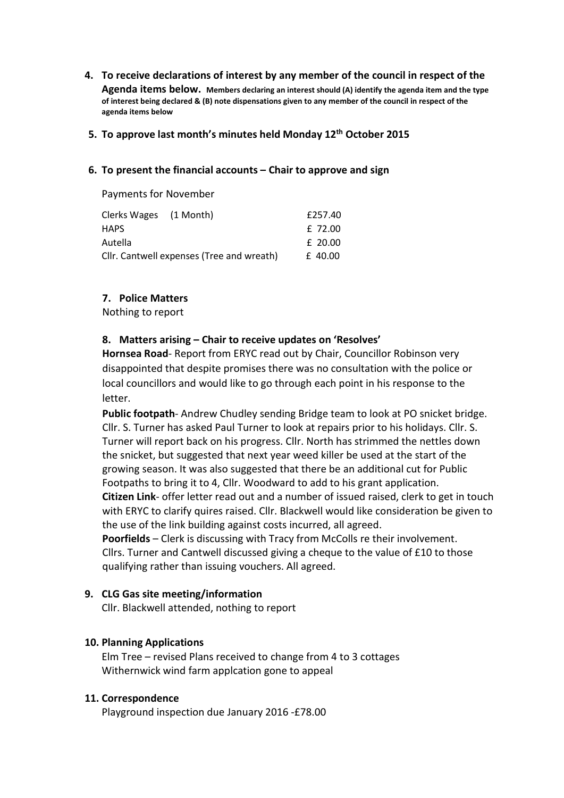### 4. To receive declarations of interest by any member of the council in respect of the

Agenda items below. Members declaring an interest should (A) identify the agenda item and the type of interest being declared & (B) note dispensations given to any member of the council in respect of the agenda items below

### 5. To approve last month's minutes held Monday 12<sup>th</sup> October 2015

#### 6. To present the financial accounts – Chair to approve and sign

Payments for November

| Clerks Wages (1 Month)                    |  | £257.40   |
|-------------------------------------------|--|-----------|
| <b>HAPS</b>                               |  | £ 72.00   |
| Autella                                   |  | $£$ 20.00 |
| Cllr. Cantwell expenses (Tree and wreath) |  | £40.00    |

### 7. Police Matters

Nothing to report

### 8. Matters arising – Chair to receive updates on 'Resolves'

Hornsea Road- Report from ERYC read out by Chair, Councillor Robinson very disappointed that despite promises there was no consultation with the police or local councillors and would like to go through each point in his response to the letter.

Public footpath- Andrew Chudley sending Bridge team to look at PO snicket bridge. Cllr. S. Turner has asked Paul Turner to look at repairs prior to his holidays. Cllr. S. Turner will report back on his progress. Cllr. North has strimmed the nettles down the snicket, but suggested that next year weed killer be used at the start of the growing season. It was also suggested that there be an additional cut for Public Footpaths to bring it to 4, Cllr. Woodward to add to his grant application. Citizen Link- offer letter read out and a number of issued raised, clerk to get in touch with ERYC to clarify quires raised. Cllr. Blackwell would like consideration be given to the use of the link building against costs incurred, all agreed.

Poorfields – Clerk is discussing with Tracy from McColls re their involvement. Cllrs. Turner and Cantwell discussed giving a cheque to the value of £10 to those qualifying rather than issuing vouchers. All agreed.

### 9. CLG Gas site meeting/information

Cllr. Blackwell attended, nothing to report

### 10. Planning Applications

Elm Tree – revised Plans received to change from 4 to 3 cottages Withernwick wind farm applcation gone to appeal

#### 11. Correspondence

Playground inspection due January 2016 -£78.00